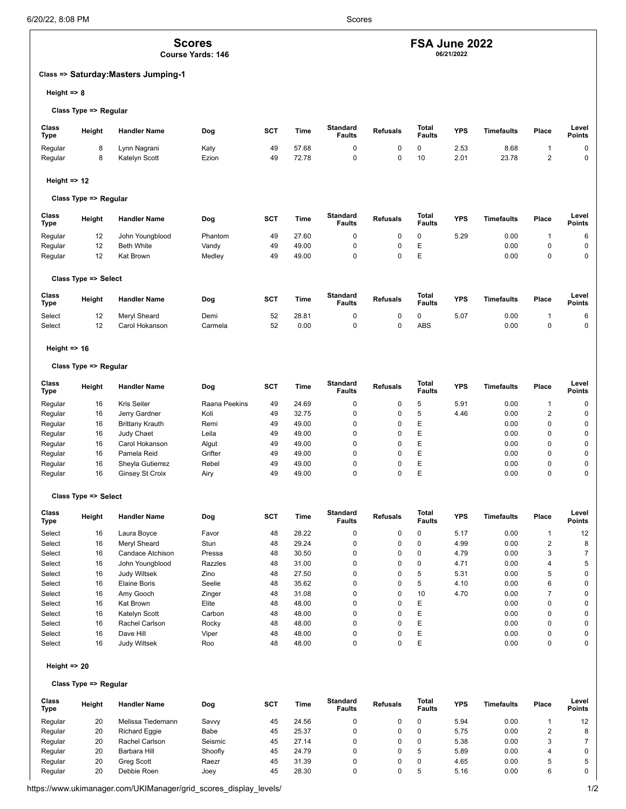# **Scores**

**Course Yards: 146**

# **Class => Saturday:Masters Jumping-1**

## **Height => 8**

#### **Class Type => Regular**

| Class<br><b>Type</b> | Height | <b>Handler Name</b> | Dog   | <b>SCT</b> | Time  | <b>Standard</b><br><sup>⊏</sup> aults | <b>Refusals</b> | Total<br><b>Faults</b> | <b>YPS</b> | <b>Timefaults</b> | Place | Level<br><b>Points</b> |
|----------------------|--------|---------------------|-------|------------|-------|---------------------------------------|-----------------|------------------------|------------|-------------------|-------|------------------------|
| Regular              |        | Lynn Nagrani        | Katy  | 49         | 57.68 |                                       |                 |                        | 2.53       | 8.68              |       |                        |
| Regular              |        | Katelyn Scott       | Ezion | 49         | 72.78 |                                       |                 | 10                     | 2.01       | 23.78             |       |                        |

# **Height => 12**

# **Class Type => Regular**

| Class<br><b>Type</b> | Height               | <b>Handler Name</b> | Dog     | <b>SCT</b> | Time  | <b>Standard</b><br><b>Faults</b> | <b>Refusals</b> | Total<br><b>Faults</b> | <b>YPS</b> | <b>Timefaults</b> | Place | Level<br><b>Points</b> |
|----------------------|----------------------|---------------------|---------|------------|-------|----------------------------------|-----------------|------------------------|------------|-------------------|-------|------------------------|
| Regular              | 12                   | John Youngblood     | Phantom | 49         | 27.60 | u                                |                 | 0                      | 5.29       | 0.00              |       | 6                      |
| Regular              | 12                   | <b>Beth White</b>   | Vandy   | 49         | 49.00 | u                                |                 | Ε                      |            | 0.00              |       | 0                      |
| Regular              | 12                   | Kat Brown           | Medley  | 49         | 49.00 | u                                |                 | Ε                      |            | 0.00              |       | 0                      |
|                      | Class Type => Select |                     |         |            |       |                                  |                 |                        |            |                   |       |                        |

| Class<br>Type | Height | <b>Handler Name</b> | Dog     | <b>SCT</b> | Time  | <b>Standard</b><br><b>Faults</b> | <b>Refusals</b> | Total<br><b>Faults</b> | <b>YPS</b> | Timefaults | Place | Level<br><b>Points</b> |
|---------------|--------|---------------------|---------|------------|-------|----------------------------------|-----------------|------------------------|------------|------------|-------|------------------------|
| Select        | 12     | Mervl Sheard        | Demi    | 52         | 28.81 |                                  |                 |                        | 5.07       | 0.00       |       |                        |
| Select        | 12     | Carol Hokanson      | Carmela | 52         | 0.00  |                                  |                 | ABS                    |            | 0.00       |       |                        |

## **Height => 16**

#### **Class Type => Regular**

| Class<br>Type | Height | <b>Handler Name</b>    | Dog           | <b>SCT</b> | Time  | <b>Standard</b><br><b>Faults</b> | <b>Refusals</b> | Total<br><b>Faults</b> | <b>YPS</b> | Timefaults | Place | Level<br><b>Points</b> |
|---------------|--------|------------------------|---------------|------------|-------|----------------------------------|-----------------|------------------------|------------|------------|-------|------------------------|
| Regular       | 16     | <b>Kris Seiter</b>     | Raana Peekins | 49         | 24.69 |                                  | 0               | b                      | 5.91       | 0.00       |       | 0                      |
| Regular       | 16     | Jerry Gardner          | Koli          | 49         | 32.75 | 0                                | 0               |                        | 4.46       | 0.00       |       | 0                      |
| Regular       | 16     | <b>Brittany Krauth</b> | Remi          | 49         | 49.00 | 0                                | 0               | Ε                      |            | 0.00       |       | 0                      |
| Regular       | 16     | Judy Chaet             | Leila         | 49         | 49.00 | 0                                | 0               | Е                      |            | 0.00       |       | 0                      |
| Regular       | 16     | Carol Hokanson         | Algut         | 49         | 49.00 | 0                                | 0               | Ε                      |            | 0.00       |       | 0                      |
| Regular       | 16     | Pamela Reid            | Grifter       | 49         | 49.00 | $\Omega$                         | 0               | Е                      |            | 0.00       |       | 0                      |
| Regular       | 16     | Sheyla Gutierrez       | Rebel         | 49         | 49.00 |                                  |                 | Е                      |            | 0.00       |       | 0                      |
| Regular       | 16     | Ginsey St Croix        | Airy          | 49         | 49.00 |                                  |                 |                        |            | 0.00       |       | 0                      |

#### **Class Type => Select**

| <b>Class</b><br>Type | Height | <b>Handler Name</b> | Dog     | <b>SCT</b> | Time  | <b>Standard</b><br><b>Faults</b> | <b>Refusals</b> | Total<br><b>Faults</b> | <b>YPS</b> | Timefaults | Place    | Level<br><b>Points</b> |
|----------------------|--------|---------------------|---------|------------|-------|----------------------------------|-----------------|------------------------|------------|------------|----------|------------------------|
| Select               | 16     | Laura Boyce         | Favor   | 48         | 28.22 | 0                                | 0               | 0                      | 5.17       | 0.00       |          | 12                     |
| Select               | 16     | Mervl Sheard        | Stun    | 48         | 29.24 | 0                                | 0               | 0                      | 4.99       | 0.00       | 2        | 8                      |
| Select               | 16     | Candace Atchison    | Pressa  | 48         | 30.50 | $\Omega$                         | 0               | 0                      | 4.79       | 0.00       | 3        |                        |
| Select               | 16     | John Youngblood     | Razzles | 48         | 31.00 | 0                                | 0               | 0                      | 4.71       | 0.00       | 4        | 5                      |
| Select               | 16     | <b>Judy Wiltsek</b> | Zino    | 48         | 27.50 | $\Omega$                         | 0               | 5                      | 5.31       | 0.00       | 5        | 0                      |
| Select               | 16     | Elaine Boris        | Seelie  | 48         | 35.62 | $\Omega$                         | 0               | 5                      | 4.10       | 0.00       | 6        | 0                      |
| Select               | 16     | Amy Gooch           | Zinger  | 48         | 31.08 | $\Omega$                         | 0               | 10                     | 4.70       | 0.00       |          | 0                      |
| Select               | 16     | Kat Brown           | Elite   | 48         | 48.00 | $\Omega$                         | 0               | Ε                      |            | 0.00       | 0        | 0                      |
| Select               | 16     | Katelyn Scott       | Carbon  | 48         | 48.00 | $\Omega$                         | 0               | Ε                      |            | 0.00       | O        | 0                      |
| Select               | 16     | Rachel Carlson      | Rocky   | 48         | 48.00 | $\Omega$                         | 0               | Ε                      |            | 0.00       | $\Omega$ | 0                      |
| Select               | 16     | Dave Hill           | Viper   | 48         | 48.00 | $\Omega$                         | 0               | Ε                      |            | 0.00       | 0        | 0                      |
| Select               | 16     | <b>Judy Wiltsek</b> | Roo     | 48         | 48.00 | 0                                | 0               | E                      |            | 0.00       |          | 0                      |

#### **Height => 20**

#### **Class Type => Regular**

| Class<br><b>Type</b> | Height | <b>Handler Name</b>  | Dog     | <b>SCT</b> | Time  | <b>Standard</b><br><b>Faults</b> | <b>Refusals</b> | Total<br><b>Faults</b> | <b>YPS</b> | <b>Timefaults</b> | Place | Level<br><b>Points</b> |
|----------------------|--------|----------------------|---------|------------|-------|----------------------------------|-----------------|------------------------|------------|-------------------|-------|------------------------|
| Regular              | 20     | Melissa Tiedemann    | Savvy   | 45         | 24.56 |                                  |                 |                        | 5.94       | 0.00              |       |                        |
| Regular              | 20     | <b>Richard Eggie</b> | Babe    | 45         | 25.37 |                                  |                 |                        | 5.75       | 0.00              |       |                        |
| Regular              | 20     | Rachel Carlson       | Seismic | 45         | 27.14 |                                  |                 |                        | 5.38       | 0.00              |       |                        |
| Regular              | 20     | Barbara Hill         | Shoofly | 45         | 24.79 |                                  |                 |                        | 5.89       | 0.00              |       |                        |
| Regular              | 20     | <b>Grea Scott</b>    | Raezr   | 45         | 31.39 |                                  |                 |                        | 4.65       | 0.00              |       |                        |
| Regular              | 20     | Debbie Roen          | Joev    | 45         | 28.30 |                                  |                 |                        | 5.16       | 0.00              |       |                        |

# **FSA June 2022**

**06/21/2022**